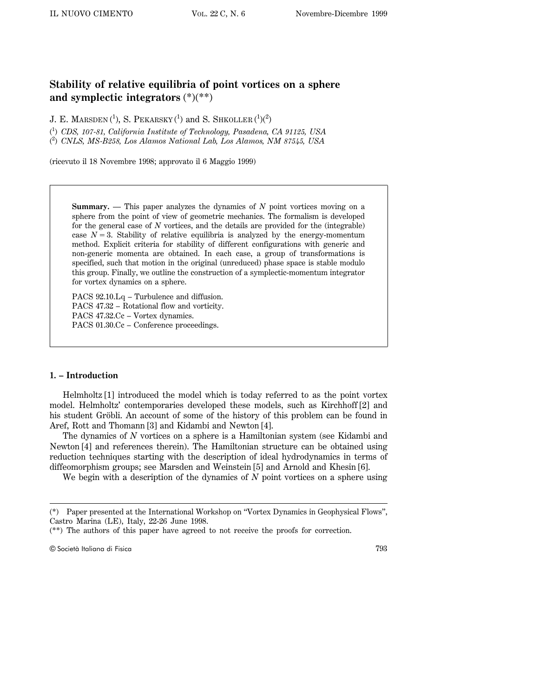# **Stability of relative equilibria of point vortices on a sphere and symplectic integrators** (\*)(\*\*)

J. E. MARSDEN  $(^1)$ , S. PEKARSKY  $(^1)$  and S. Shkoller  $(^1)$  $(^2)$ 

( 1 ) *CDS, 107-81, California Institute of Technology, Pasadena, CA 91125, USA* ( 2 ) *CNLS, MS-B258, Los Alamos National Lab, Los Alamos, NM 87545, USA*

(ricevuto il 18 Novembre 1998; approvato il 6 Maggio 1999)

**Summary.** — This paper analyzes the dynamics of *N* point vortices moving on a sphere from the point of view of geometric mechanics. The formalism is developed for the general case of *N* vortices, and the details are provided for the (integrable) case  $N=3$ . Stability of relative equilibria is analyzed by the energy-momentum method. Explicit criteria for stability of different configurations with generic and non-generic momenta are obtained. In each case, a group of transformations is specified, such that motion in the original (unreduced) phase space is stable modulo this group. Finally, we outline the construction of a symplectic-momentum integrator for vortex dynamics on a sphere.

PACS 92.10.Lq – Turbulence and diffusion. PACS 47.32 – Rotational flow and vorticity. PACS 47.32.Cc – Vortex dynamics. PACS 01.30.Cc – Conference proceedings.

# **1. – Introduction**

Helmholtz [1] introduced the model which is today referred to as the point vortex model. Helmholtz' contemporaries developed these models, such as Kirchhoff [2] and his student Gröbli. An account of some of the history of this problem can be found in Aref, Rott and Thomann [3] and Kidambi and Newton [4].

The dynamics of *N* vortices on a sphere is a Hamiltonian system (see Kidambi and Newton [4] and references therein). The Hamiltonian structure can be obtained using reduction techniques starting with the description of ideal hydrodynamics in terms of diffeomorphism groups; see Marsden and Weinstein [5] and Arnold and Khesin [6].

We begin with a description of the dynamics of *N* point vortices on a sphere using

G Società Italiana di Fisica 793

<sup>(\*)</sup> Paper presented at the International Workshop on "Vortex Dynamics in Geophysical Flows", Castro Marina (LE), Italy, 22-26 June 1998.

<sup>(\*\*)</sup> The authors of this paper have agreed to not receive the proofs for correction.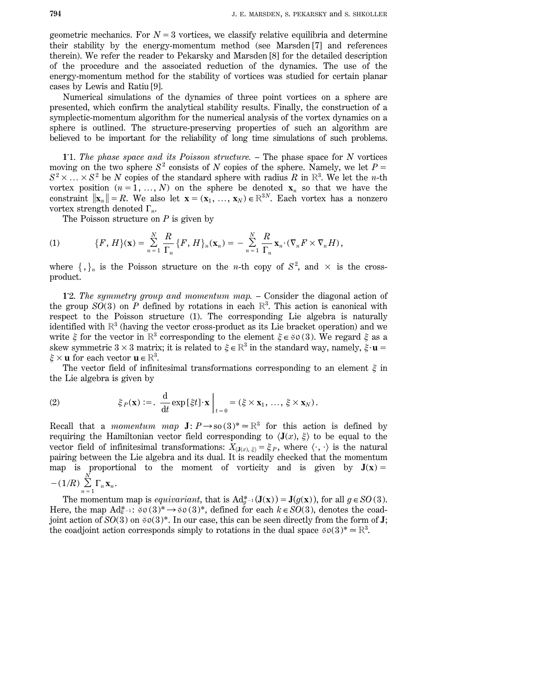geometric mechanics. For  $N=3$  vortices, we classify relative equilibria and determine their stability by the energy-momentum method (see Marsden [7] and references therein). We refer the reader to Pekarsky and Marsden [8] for the detailed description of the procedure and the associated reduction of the dynamics. The use of the energy-momentum method for the stability of vortices was studied for certain planar cases by Lewis and Ratiu [9].

Numerical simulations of the dynamics of three point vortices on a sphere are presented, which confirm the analytical stability results. Finally, the construction of a symplectic-momentum algorithm for the numerical analysis of the vortex dynamics on a sphere is outlined. The structure-preserving properties of such an algorithm are believed to be important for the reliability of long time simulations of such problems.

**1** . 1. *The phase space and its Poisson structure. –* The phase space for *N* vortices moving on the two sphere  $S^2$  consists of *N* copies of the sphere. Namely, we let  $P=$  $S^2 \times \ldots \times S^2$  be *N* copies of the standard sphere with radius *R* in R<sup>3</sup>. We let the *n*-th vortex position  $(n=1, ..., N)$  on the sphere be denoted  $\mathbf{x}_n$  so that we have the constraint  $||\mathbf{x}_n|| = R$ . We also let  $\mathbf{x} = (\mathbf{x}_1, \ldots, \mathbf{x}_N) \in \mathbb{R}^{3N}$ . Each vortex has a nonzero vortex strength denoted  $\Gamma_n$ .

The Poisson structure on *P* is given by

(1) 
$$
\{F, H\}(\mathbf{x}) = \sum_{n=1}^N \frac{R}{\Gamma_n} \{F, H\}_n(\mathbf{x}_n) = -\sum_{n=1}^N \frac{R}{\Gamma_n} \mathbf{x}_n \cdot (\nabla_n F \times \nabla_n H),
$$

where  $\{\, ,\}_n$  is the Poisson structure on the *n*-th copy of  $S^2$ , and  $\times$  is the crossproduct.

**1** . 2. *The symmetry group and momentum map. –* Consider the diagonal action of the group  $SO(3)$  on  $P$  defined by rotations in each  $\mathbb{R}^3$ . This action is canonical with respect to the Poisson structure (1). The corresponding Lie algebra is naturally identified with  $\mathbb{R}^3$  (having the vector cross-product as its Lie bracket operation) and we write  $\xi$  for the vector in  $\mathbb{R}^3$  corresponding to the element  $\xi \in \mathcal{S} \circ (3)$ . We regard  $\xi$  as a skew symmetric 3  $\times$  3 matrix; it is related to  $\xi \in \mathbb{R}^3$  in the standard way, namely,  $\xi \cdot$ **u** =  $\xi \times \mathbf{u}$  for each vector  $\mathbf{u} \in \mathbb{R}^3$ .

The vector field of infinitesimal transformations corresponding to an element  $\xi$  in the Lie algebra is given by

(2) 
$$
\xi_P(\mathbf{x}) := \frac{\mathrm{d}}{\mathrm{d}t} \exp\left[\xi t\right] \cdot \mathbf{x} \Big|_{t=0} = (\xi \times \mathbf{x}_1, \ldots, \xi \times \mathbf{x}_N).
$$

Recall that a *momentum map*  $J: P \rightarrow \infty (3)^* \simeq \mathbb{R}^3$  for this action is defined by requiring the Hamiltonian vector field corresponding to  $\langle \mathbf{J}(x), \xi \rangle$  to be equal to the vector field of infinitesimal transformations:  $X_{(\mathbf{J}(x), \xi)} = \xi_P$ , where  $\langle \cdot, \cdot \rangle$  is the natural pairing between the Lie algebra and its dual. It is readily checked that the momentum map is proportional to the moment of vorticity and is given by  $J(x) =$  $-(1/R)\sum_{n=1}^{N}$  $\sum_{i=1}^N \Gamma_n \mathbf{x}_n$ .

The momentum map is *equivariant*, that is  $Ad_{a^{-1}}^*(J(x)) = J(g(x))$ , for all  $g \in SO(3)$ . Here, the map  $\text{Ad}_{k}^*$ -1:  $\mathfrak{so}(3)^*\rightarrow \mathfrak{so}(3)^*$ , defined for each  $k\in SO(3)$ , denotes the coadjoint action of  $SO(3)$  on  $\Im(3)$ <sup>\*</sup>. In our case, this can be seen directly from the form of **J**; the coadjoint action corresponds simply to rotations in the dual space  $\mathfrak{so}(3)^* \simeq \mathbb{R}^3$ .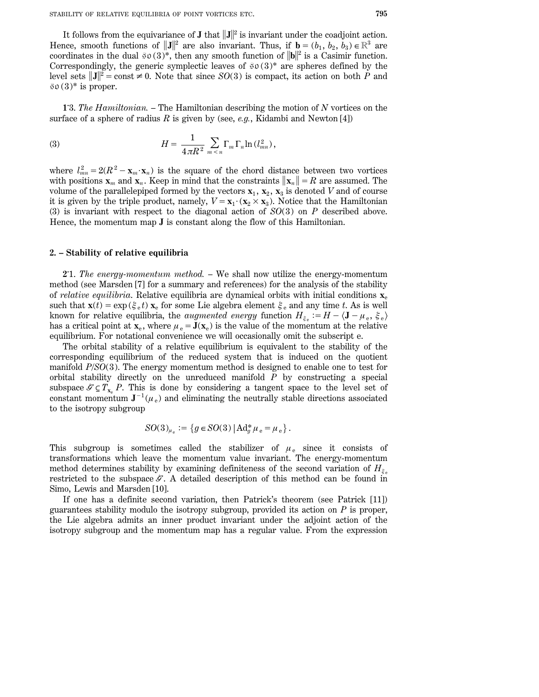It follows from the equivariance of **J** that  $\|\mathbf{J}\|^2$  is invariant under the coadjoint action. Hence, smooth functions of  $||\mathbf{J}||^2$  are also invariant. Thus, if  $\mathbf{b} = (b_1, b_2, b_3) \in \mathbb{R}^3$  are coordinates in the dual  $\mathfrak{so}(3)^*$ , then any smooth function of  $\|\mathbf{b}\|^2$  is a Casimir function. Correspondingly, the generic symplectic leaves of  $\mathfrak{so}(3)^*$  are spheres defined by the level sets  $\|\mathbf{J}\|^2 = \text{const} \neq 0$ . Note that since *SO*(3) is compact, its action on both *P* and  $\mathfrak{so}(3)^*$  is proper.

**1** . 3. *The Hamiltonian. –* The Hamiltonian describing the motion of *N* vortices on the surface of a sphere of radius *R* is given by (see, *e.g.*, Kidambi and Newton [4])

(3) 
$$
H = \frac{1}{4\pi R^2} \sum_{m < n} \Gamma_m \Gamma_n \ln(l_{mn}^2),
$$

where  $l_{mn}^2 = 2(R^2 - \mathbf{x}_m \cdot \mathbf{x}_n)$  is the square of the chord distance between two vortices with positions  $\mathbf{x}_m$  and  $\mathbf{x}_n$ . Keep in mind that the constraints  $\|\mathbf{x}_n\| = R$  are assumed. The volume of the parallelepiped formed by the vectors  $\mathbf{x}_1, \mathbf{x}_2, \mathbf{x}_3$  is denoted *V* and of course it is given by the triple product, namely,  $V = \mathbf{x}_1 \cdot (\mathbf{x}_2 \times \mathbf{x}_3)$ . Notice that the Hamiltonian (3) is invariant with respect to the diagonal action of *SO*(3) on *P* described above. Hence, the momentum map **J** is constant along the flow of this Hamiltonian.

#### **2. – Stability of relative equilibria**

**2** . 1. *The energy-momentum method. –* We shall now utilize the energy-momentum method (see Marsden [7] for a summary and references) for the analysis of the stability of *relative equilibria*. Relative equilibria are dynamical orbits with initial conditions  $\mathbf{x}_e$ such that  $\mathbf{x}(t) = \exp(\xi_e t) \mathbf{x}_e$  for some Lie algebra element  $\xi_e$  and any time *t*. As is well known for relative equilibria, the *augmented energy* function  $H_{\xi_e} := H - \langle \mathbf{J} - \mu_e, \xi_e \rangle$ has a critical point at  $\mathbf{x}_e$ , where  $\mu_e = \mathbf{J}(\mathbf{x}_e)$  is the value of the momentum at the relative equilibrium. For notational convenience we will occasionally omit the subscript e.

The orbital stability of a relative equilibrium is equivalent to the stability of the corresponding equilibrium of the reduced system that is induced on the quotient manifold *P*/*SO*(3). The energy momentum method is designed to enable one to test for orbital stability directly on the unreduced manifold *P* by constructing a special subspace  $\mathscr{S} \subseteq T_{\mathbf{x}_n}$  *P*. This is done by considering a tangent space to the level set of constant momentum  $J^{-1}(\mu_e)$  and eliminating the neutrally stable directions associated to the isotropy subgroup

$$
SO(3)_{\mu_e} := \{ g \in SO(3) | \text{Ad}^*_{g} \mu_e = \mu_e \}.
$$

This subgroup is sometimes called the stabilizer of  $\mu_e$  since it consists of transformations which leave the momentum value invariant. The energy-momentum method determines stability by examining definiteness of the second variation of  $H_{\varepsilon_{\varepsilon}}$ restricted to the subspace  $\mathcal{S}$ . A detailed description of this method can be found in Simo, Lewis and Marsden [10].

If one has a definite second variation, then Patrick's theorem (see Patrick [11]) guarantees stability modulo the isotropy subgroup, provided its action on *P* is proper, the Lie algebra admits an inner product invariant under the adjoint action of the isotropy subgroup and the momentum map has a regular value. From the expression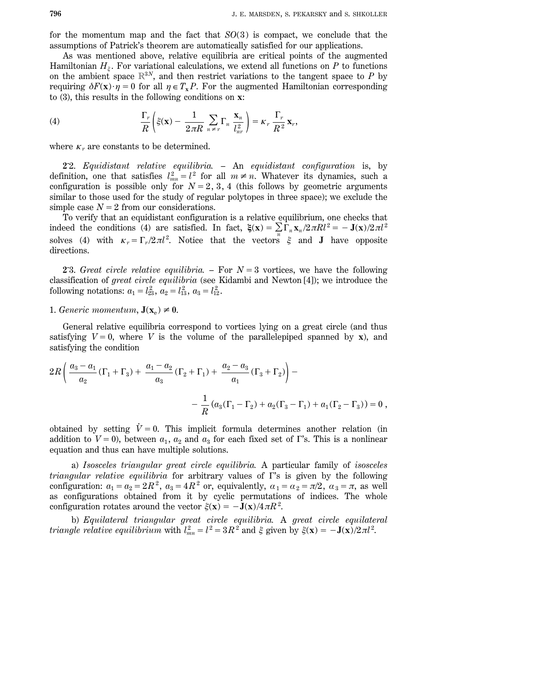for the momentum map and the fact that *SO*(3) is compact, we conclude that the assumptions of Patrick's theorem are automatically satisfied for our applications.

As was mentioned above, relative equilibria are critical points of the augmented Hamiltonian  $H_{\varepsilon}$ . For variational calculations, we extend all functions on P to functions on the ambient space  $\mathbb{R}^{3N}$ , and then restrict variations to the tangent space to P by requiring  $\delta F(\mathbf{x}) \cdot \eta = 0$  for all  $\eta \in T_{\mathbf{x}}P$ . For the augmented Hamiltonian corresponding to (3), this results in the following conditions on **x**:

(4) 
$$
\frac{\Gamma_r}{R} \left( \xi(\mathbf{x}) - \frac{1}{2\pi R} \sum_{n \neq r} \Gamma_n \frac{\mathbf{x}_n}{l_{nr}^2} \right) = \kappa_r \frac{\Gamma_r}{R^2} \mathbf{x}_r,
$$

where  $K_r$  are constants to be determined.

**2** . 2. *Equidistant relative equilibria. –* An *equidistant configuration* is, by definition, one that satisfies  $l_{mn}^2 = l^2$  for all  $m \neq n$ . Whatever its dynamics, such a configuration is possible only for  $N=2, 3, 4$  (this follows by geometric arguments similar to those used for the study of regular polytopes in three space); we exclude the simple case  $N=2$  from our considerations.

To verify that an equidistant configuration is a relative equilibrium, one checks that indeed the conditions (4) are satisfied. In fact,  $\xi(\mathbf{x}) = \sum_{n} \Gamma_n \mathbf{x}_n / 2 \pi R l^2 = -\mathbf{J}(\mathbf{x}) / 2 \pi l^2$ solves (4) with  $\kappa_r = \Gamma_r / 2\pi l^2$ . Notice that the vectors  $\xi$  and **J** have opposite directions.

**2**'3. *Great circle relative equilibria.* – For  $N = 3$  vortices, we have the following classification of *great circle equilibria* (see Kidambi and Newton [4]); we introduce the following notations:  $a_1 = l_{23}^2$ ,  $a_2 = l_{13}^2$ ,  $a_3 = l_{12}^2$ .

# 1. *Generic momentum*,  $J(x_e) \neq 0$ .

General relative equilibria correspond to vortices lying on a great circle (and thus satisfying  $V=0$ , where V is the volume of the parallelepiped spanned by **x**), and satisfying the condition

$$
2R\left(\frac{a_3 - a_1}{a_2}(\Gamma_1 + \Gamma_3) + \frac{a_1 - a_2}{a_3}(\Gamma_2 + \Gamma_1) + \frac{a_2 - a_3}{a_1}(\Gamma_3 + \Gamma_2)\right) -
$$
  

$$
-\frac{1}{R}(a_3(\Gamma_1 - \Gamma_2) + a_2(\Gamma_3 - \Gamma_1) + a_1(\Gamma_2 - \Gamma_3)) = 0,
$$

obtained by setting *V* .  $= 0$ . This implicit formula determines another relation (in addition to  $V=0$ , between  $a_1$ ,  $a_2$  and  $a_3$  for each fixed set of  $\Gamma$ 's. This is a nonlinear equation and thus can have multiple solutions.

a) *Isosceles triangular great circle equilibria.* A particular family of *isosceles triangular relative equilibria* for arbitrary values of  $\Gamma$ 's is given by the following configuration:  $a_1 = a_2 = 2R^2$ ,  $a_3 = 4R^2$  or, equivalently,  $a_1 = a_2 = \pi/2$ ,  $a_3 = \pi$ , as well as configurations obtained from it by cyclic permutations of indices. The whole configuration rotates around the vector  $\xi(\mathbf{x}) = -\mathbf{J}(\mathbf{x})/4\pi R^2$ .

b) *Equilateral triangular great circle equilibria.* A *great circle equilateral triangle relative equilibrium* with  $l_{mn}^2 = l^2 = 3R^2$  and  $\xi$  given by  $\xi(\mathbf{x}) = -\mathbf{J}(\mathbf{x})/2\pi l^2$ .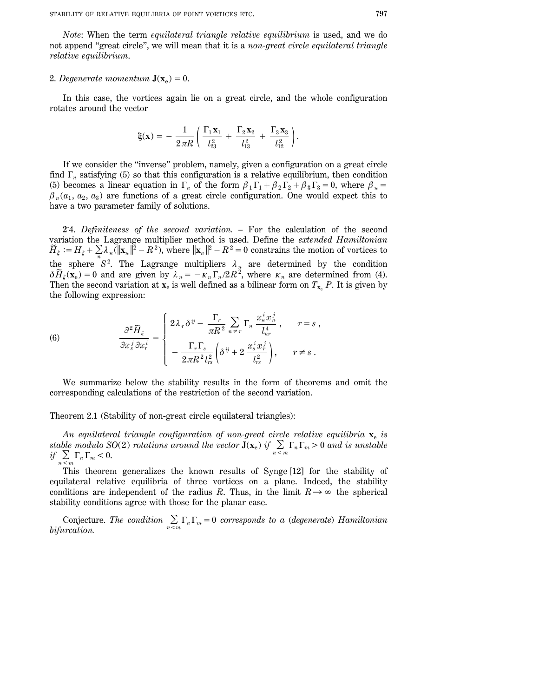STABILITY OF RELATIVE EQUILIBRIA OF POINT VORTICES ETC. **797**

*Note*: When the term *equilateral triangle relative equilibrium* is used, and we do not append "great circle", we will mean that it is a *non-great circle equilateral triangle relative equilibrium*.

#### 2. *Degenerate momentum*  $J(x_e) = 0$ .

In this case, the vortices again lie on a great circle, and the whole configuration rotates around the vector

$$
\xi(\mathbf{x}) = -\frac{1}{2\pi R} \left( \frac{\Gamma_1 \mathbf{x}_1}{l_{23}^2} + \frac{\Gamma_2 \mathbf{x}_2}{l_{13}^2} + \frac{\Gamma_3 \mathbf{x}_3}{l_{12}^2} \right).
$$

If we consider the "inverse" problem, namely, given a configuration on a great circle find  $\Gamma_n$  satisfying (5) so that this configuration is a relative equilibrium, then condition (5) becomes a linear equation in  $\Gamma_n$  of the form  $\beta_1 \Gamma_1 + \beta_2 \Gamma_2 + \beta_3 \Gamma_3 = 0$ , where  $\beta_n =$  $\beta_n(a_1, a_2, a_3)$  are functions of a great circle configuration. One would expect this to have a two parameter family of solutions.

**2** . 4. *Definiteness of the second variation. –* For the calculation of the second variation the Lagrange multiplier method is used. Define the *extended Hamiltonian*  $\widetilde{H}_{\xi} := H_{\xi} + \sum_{n} \lambda_n (||\mathbf{x}_n||^2 - R^2)$ , where  $||\mathbf{x}_n||^2 - R^2 = 0$  constrains the motion of vortices to the sphere  $S^2$ . The Lagrange multipliers  $\lambda_n$  are determined by the condition  $\delta \widetilde{H}_{\xi}(\mathbf{x}_e) = 0$  and are given by  $\lambda_n = -\kappa_n \Gamma_n / 2R^2$ , where  $\kappa_n$  are determined from (4). Then the second variation at  $\mathbf{x}_e$  is well defined as a bilinear form on  $T_{\mathbf{x}_e}$  *P*. It is given by the following expression:

(6) 
$$
\frac{\partial^2 \widetilde{H}_{\xi}}{\partial x_s^j \partial x_r^i} = \begin{cases} 2\lambda_r \delta^{ij} - \frac{\Gamma_r}{\pi R^2} \sum_{n \neq r} \Gamma_n \frac{x_n^j x_n^j}{l_{nr}^4}, & r = s, \\ -\frac{\Gamma_r \Gamma_s}{2\pi R^2 l_{rs}^2} \left( \delta^{ij} + 2 \frac{x_s^i x_r^j}{l_{rs}^2} \right), & r \neq s. \end{cases}
$$

We summarize below the stability results in the form of theorems and omit the corresponding calculations of the restriction of the second variation.

Theorem 2.1 (Stability of non-great circle equilateral triangles):

*An equilateral triangle configuration of non-great circle relative equilibria* **x**<sup>e</sup> *is stable modulo SO*(2) *rotations around the vector*  $J(x_e)$  *if*  $\sum_{n \le m} \Gamma_n \Gamma_m > 0$  *and is unstable if*  $\sum \Gamma \Gamma \le 0$  $if \sum_{n \leq m} \Gamma_n \Gamma_m < 0.$ 

This theorem generalizes the known results of Synge [12] for the stability of equilateral relative equilibria of three vortices on a plane. Indeed, the stability conditions are independent of the radius *R*. Thus, in the limit  $R \to \infty$  the spherical stability conditions agree with those for the planar case.

Conjecture. The condition  $\sum_{n \le m} \Gamma_n \Gamma_m = 0$  corresponds to a (*degenerate*) *Hamiltonian bifurcation.*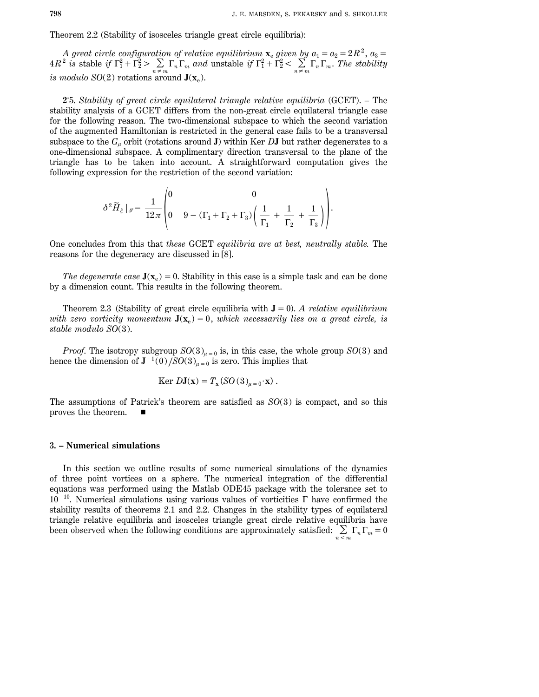Theorem 2.2 (Stability of isosceles triangle great circle equilibria):

*A* great circle configuration of relative equilibrium  $\mathbf{x}_{e}$  given by  $a_{1} = a_{2} = 2R^{2}$ ,  $a_{3} = a_{1}$  $4R^2$  is stable if  $\Gamma_1^2 + \Gamma_2^2 > \sum_{n \neq m} \Gamma_n \Gamma_m$  and unstable if  $\Gamma_1^2 + \Gamma_2^2 < \sum_{n \neq m} \Gamma_n \Gamma_m$ . The stability *is modulo SO*(2) rotations around  $J(x_e)$ .

**2** . 5. *Stability of great circle equilateral triangle relative equilibria* (GCET). – The stability analysis of a GCET differs from the non-great circle equilateral triangle case for the following reason. The two-dimensional subspace to which the second variation of the augmented Hamiltonian is restricted in the general case fails to be a transversal subspace to the  $G_\mu$  orbit (rotations around **J**) within Ker D**J** but rather degenerates to a one-dimensional subspace. A complimentary direction transversal to the plane of the triangle has to be taken into account. A straightforward computation gives the following expression for the restriction of the second variation:

$$
\delta^2 \widetilde{H}_{\xi} \big|_{\mathscr{S}} = \frac{1}{12\pi} \begin{pmatrix} 0 & 0 \\ 0 & 9 - (\Gamma_1 + \Gamma_2 + \Gamma_3) \left( \frac{1}{\Gamma_1} + \frac{1}{\Gamma_2} + \frac{1}{\Gamma_3} \right) \end{pmatrix}.
$$

One concludes from this that *these* GCET *equilibria are at best, neutrally stable.* The reasons for the degeneracy are discussed in [8].

*The degenerate case*  $J(x_e) = 0$ . Stability in this case is a simple task and can be done by a dimension count. This results in the following theorem.

Theorem 2.3 (Stability of great circle equilibria with  $J=0$ ). A relative equilibrium *with zero vorticity momentum*  $J(x_e) = 0$ , *which necessarily lies on a great circle, is stable modulo SO*(3).

*Proof.* The isotropy subgroup  $SO(3)_{\mu=0}$  is, in this case, the whole group  $SO(3)$  and hence the dimension of  $\mathbf{J}^{-1}(0)/SO(3)_{\mu=0}$  is zero. This implies that

$$
\text{Ker } D\mathbf{J}(\mathbf{x}) = T_{\mathbf{x}} (SO(3)_{\mu=0} \cdot \mathbf{x}).
$$

The assumptions of Patrick's theorem are satisfied as *SO*(3) is compact, and so this proves the theorem.

## **3. – Numerical simulations**

In this section we outline results of some numerical simulations of the dynamics of three point vortices on a sphere. The numerical integration of the differential equations was performed using the Matlab ODE45 package with the tolerance set to  $10^{-10}$ . Numerical simulations using various values of vorticities  $\Gamma$  have confirmed the stability results of theorems 2.1 and 2.2. Changes in the stability types of equilateral triangle relative equilibria and isosceles triangle great circle relative equilibria have been observed when the following conditions are approximately satisfied:  $\sum_{m} \Gamma_n \Gamma_m = 0$  $n < m$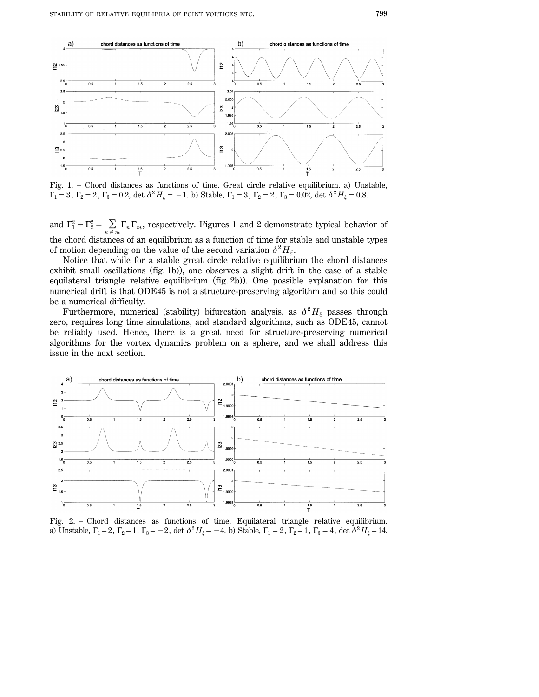

Fig. 1. – Chord distances as functions of time. Great circle relative equilibrium. a) Unstable,  $\Gamma_1 = 3, \Gamma_2 = 2, \Gamma_3 = 0.2$ , det  $\delta^2 H_{\xi} = -1$ . b) Stable,  $\Gamma_1 = 3, \Gamma_2 = 2, \Gamma_3 = 0.02$ , det  $\delta^2 H_{\xi} = 0.8$ .

and  $\Gamma_1^2 + \Gamma_2^2 = \sum_{n \neq m} \Gamma_n \Gamma_n$ , respectively. Figures 1 and 2 demonstrate typical behavior of the chord distances of an equilibrium as a function of time for stable and unstable types of motion depending on the value of the second variation  $\delta^2 H_{\varepsilon}$ .

Notice that while for a stable great circle relative equilibrium the chord distances exhibit small oscillations (fig. 1b)), one observes a slight drift in the case of a stable equilateral triangle relative equilibrium (fig. 2b)). One possible explanation for this numerical drift is that ODE45 is not a structure-preserving algorithm and so this could be a numerical difficulty.

Furthermore, numerical (stability) bifurcation analysis, as  $\delta^2 H_{\varepsilon}$  passes through zero, requires long time simulations, and standard algorithms, such as ODE45, cannot be reliably used. Hence, there is a great need for structure-preserving numerical algorithms for the vortex dynamics problem on a sphere, and we shall address this issue in the next section.



Fig. 2. – Chord distances as functions of time. Equilateral triangle relative equilibrium. a) Unstable,  $\Gamma_1 = 2$ ,  $\Gamma_2 = 1$ ,  $\Gamma_3 = -2$ , det  $\delta^2 H_{\xi} = -4$ . b) Stable,  $\Gamma_1 = 2$ ,  $\Gamma_2 = 1$ ,  $\Gamma_3 = 4$ , det  $\delta^2 H_{\xi} = 14$ .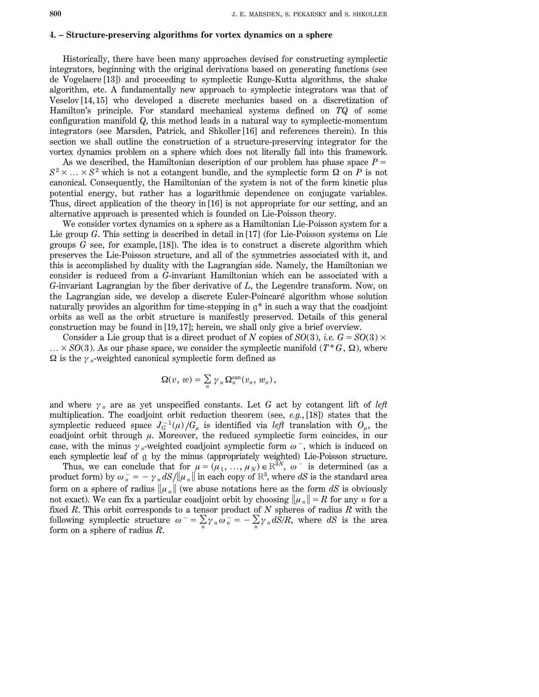#### **4. – Structure-preserving algorithms for vortex dynamics on a sphere**

Historically, there have been many approaches devised for constructing symplectic integrators, beginning with the original derivations based on generating functions (see de Vogelaere [13]) and proceeding to symplectic Runge-Kutta algorithms, the shake algorithm, etc. A fundamentally new approach to symplectic integrators was that of Veselov [14, 15] who developed a discrete mechanics based on a discretization of Hamilton's principle. For standard mechanical systems defined on *TQ* of some configuration manifold *Q*, this method leads in a natural way to symplectic-momentum integrators (see Marsden, Patrick, and Shkoller [16] and references therein). In this section we shall outline the construction of a structure-preserving integrator for the vortex dynamics problem on a sphere which does not literally fall into this framework.

As we described, the Hamiltonian description of our problem has phase space  $P=$  $S^2 \times \ldots \times S^2$  which is not a cotangent bundle, and the symplectic form  $\Omega$  on *P* is not canonical. Consequently, the Hamiltonian of the system is not of the form kinetic plus potential energy, but rather has a logarithmic dependence on conjugate variables. Thus, direct application of the theory in [16] is not appropriate for our setting, and an alternative approach is presented which is founded on Lie-Poisson theory.

We consider vortex dynamics on a sphere as a Hamiltonian Lie-Poisson system for a Lie group *G*. This setting is described in detail in [17] (for Lie-Poisson systems on Lie groups *G* see, for example, [18]). The idea is to construct a discrete algorithm which preserves the Lie-Poisson structure, and all of the symmetries associated with it, and this is accomplished by duality with the Lagrangian side. Namely, the Hamiltonian we consider is reduced from a *G*-invariant Hamiltonian which can be associated with a *G*-invariant Lagrangian by the fiber derivative of *L*, the Legendre transform. Now, on the Lagrangian side, we develop a discrete Euler-Poincaré algorithm whose solution naturally provides an algorithm for time-stepping in  $\mathfrak{g}^*$  in such a way that the coadjoint orbits as well as the orbit structure is manifestly preserved. Details of this general construction may be found in [19, 17]; herein, we shall only give a brief overview.

Consider a Lie group that is a direct product of *N* copies of  $SO(3)$ , *i.e.*  $G = SO(3) \times$  $R_1 \times SO(3)$ . As our phase space, we consider the symplectic manifold ( $T^* G$ ,  $\Omega$ ), where  $\Omega$  is the  $\gamma$ <sub>n</sub>-weighted canonical symplectic form defined as

$$
\Omega(v, w) = \sum_{n} \gamma_n \Omega_n^{\text{can}}(v_n, w_n),
$$

and where  $\gamma_n$  are as yet unspecified constants. Let G act by cotangent lift of *left* multiplication. The coadjoint orbit reduction theorem (see, *e.g.*, [18]) states that the symplectic reduced space  $J_G^{-1}(\mu)/G_\mu$  is identified via *left* translation with  $O_\mu$ , the coadjoint orbit through  $\mu$ . Moreover, the reduced symplectic form coincides, in our case, with the minus  $\gamma_n$ -weighted coadjoint symplectic form  $\omega^-$ , which is induced on each symplectic leaf of  $\alpha$  by the minus (appropriately weighted) Lie-Poisson structure.

Thus, we can conclude that for  $\mu = (\mu_1, ..., \mu_N) \in \mathbb{R}^{3N}$ ,  $\omega$ <sup>-</sup> is determined (as a product form) by  $\omega_n^- = - \gamma_n dS / \|\mu_n\|$  in each copy of  $\mathbb{R}^3$ , where  $dS$  is the standard area form on a sphere of radius  $\|\mu_n\|$  (we abuse notations here as the form *dS* is obviously not exact). We can fix a particular coadjoint orbit by choosing  $\|\mu_n\| = R$  for any *n* for a fixed R. This orbit corresponds to a tensor product of N spheres of radius R with the following symplectic structure  $\omega = \sum_{n} \gamma_n \omega_n = -\sum_{n} \gamma_n dS/R$ , where dS is the area form on a subora of nodius B form on a sphere of radius *R*.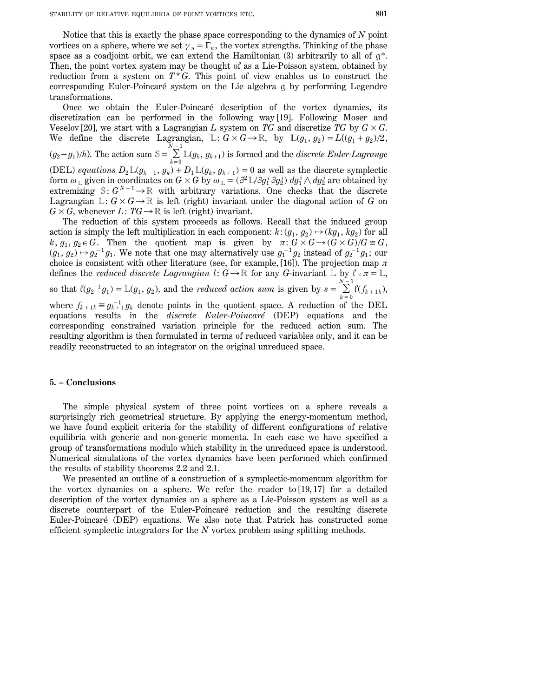Notice that this is exactly the phase space corresponding to the dynamics of *N* point vortices on a sphere, where we set  $\gamma_n = \Gamma_n$ , the vortex strengths. Thinking of the phase space as a coadjoint orbit, we can extend the Hamiltonian (3) arbitrarily to all of  $\mathfrak{g}^*$ . Then, the point vortex system may be thought of as a Lie-Poisson system, obtained by reduction from a system on  $T^*G$ . This point of view enables us to construct the corresponding Euler-Poincaré system on the Lie algebra  $\alpha$  by performing Legendre transformations.

Once we obtain the Euler-Poincaré description of the vortex dynamics, its discretization can be performed in the following way [19]. Following Moser and Veselov [20], we start with a Lagrangian L system on TG and discretize TG by  $G \times G$ . We define the discrete Lagrangian,  $\mathbb{L}: G \times G \to \mathbb{R}$ , by  $\mathbb{L}(g_1, g_2) = L((g_1 + g_2)/2)$ ,  $(g_2 - g_1)/h$ ). The action sum  $S = \sum_{k=0}^{N-1}$  $\sum_{i=1}^{N-1} \mathbb{L}(g_k, g_{k+1})$  is formed and the *discrete Euler-Lagrange* (DEL) *equations*  $D_2 \mathbb{L}(g_{k-1}, g_k) + D_1 \mathbb{L}(g_k, g_{k+1}) = 0$  as well as the discrete symplectic form  $\omega_L$  given in coordinates on  $G \times G$  by  $\omega_L = (\partial^2 \mathbb{L}/\partial g_1^i \partial g_2^j) dg_1^i \wedge dg_2^j$  are obtained by extremizing  $S: G^{N+1} \to \mathbb{R}$  with arbitrary variations. One checks that the discrete Lagrangian L:  $G \times G \rightarrow \mathbb{R}$  is left (right) invariant under the diagonal action of *G* on  $G \times G$ , whenever  $L: TG \to \mathbb{R}$  is left (right) invariant.

The reduction of this system proceeds as follows. Recall that the induced group action is simply the left multiplication in each component:  $k:(g_1, g_2) \mapsto (kg_1, kg_2)$  for all  $k, g_1, g_2 \in G$ . Then the quotient map is given by  $\pi: G \times G \rightarrow (G \times G)/G \cong G$ ,  $(g_1, g_2) \mapsto g_2^{-1} g_1$ . We note that one may alternatively use  $g_1^{-1} g_2$  instead of  $g_2^{-1} g_1$ ; our choice is consistent with other literature (see, for example, [16]). The projection map  $\pi$ defines the *reduced discrete Lagrangian l*:  $G \to \mathbb{R}$  for any *G*-invariant L by  $\ell \circ \pi = \mathbb{L}$ , so that  $\ell(g_2^{-1}g_1) = \mathbb{L}(g_1, g_2)$ , and the *reduced action sum* is given by  $s = \sum_{k=0}^{N-1}$  $\sum_{k=0}^{N-1} \ell(f_{k+1k}),$ 

where  $f_{k+1k} \equiv g_{k+1}^{-1}g_k$  denote points in the quotient space. A reduction of the DEL equations results in the *discrete Euler-Poincaré* (DEP) equations and the corresponding constrained variation principle for the reduced action sum. The resulting algorithm is then formulated in terms of reduced variables only, and it can be readily reconstructed to an integrator on the original unreduced space.

## **5. – Conclusions**

The simple physical system of three point vortices on a sphere reveals a surprisingly rich geometrical structure. By applying the energy-momentum method, we have found explicit criteria for the stability of different configurations of relative equilibria with generic and non-generic momenta. In each case we have specified a group of transformations modulo which stability in the unreduced space is understood. Numerical simulations of the vortex dynamics have been performed which confirmed the results of stability theorems 2.2 and 2.1.

We presented an outline of a construction of a symplectic-momentum algorithm for the vortex dynamics on a sphere. We refer the reader to [19, 17] for a detailed description of the vortex dynamics on a sphere as a Lie-Poisson system as well as a discrete counterpart of the Euler-Poincaré reduction and the resulting discrete Euler-Poincaré (DEP) equations. We also note that Patrick has constructed some efficient symplectic integrators for the *N* vortex problem using splitting methods.